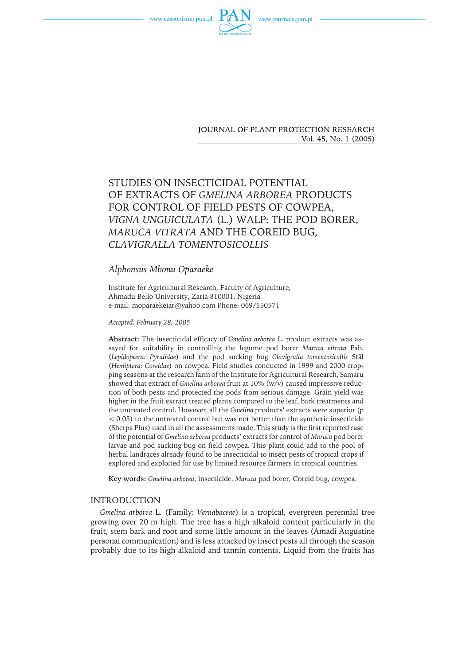



**JOURNAL OF PLANT PROTECTION RESEARCH** Vol. 45, No. 1 (2005)

# STUDIES ON INSECTICIDAL POTENTIAL OF EXTRACTS OF *GMELINA ARBOREA* PRODUCTS FOR CONTROL OF FIELD PESTS OF COWPEA, *VIGNA UNGUICULATA* (L.) WALP: THE POD BORER, *MARUCA VITRATA* AND THE COREID BUG, *CLAVIGRALLA TOMENTOSICOLLIS*

# *Alphonsus Mbonu Oparaeke*

Institute for Agricultural Research, Faculty of Agriculture, Ahmadu Bello University, Zaria 810001, Nigeria e-mail: moparaekeiar@yahoo.com Phone: 069/550571

#### *Accepted:February 28, 2005*

**Abstract:** The insecticidal efficacy of *Gmelina arborea* L. product extracts was assayed for suitability in controlling the legume pod borer *Maruca vitrata* Fab. (*Lepidoptera:Pyralidae*) and the pod sucking bug *Clavigralla tomentosicollis* Stäl (*Hemiptera:Coreidae*) on cowpea. Field studies conducted in 1999 and 2000 cropping seasons at the research farm of the Institute for Agricultural Research, Samaru showed that extract of *Gmelina arborea* fruit at 10% (w/v) caused impressive reduction of both pests and protected the pods from serious damage. Grain yield was higher in the fruit extract treated plants compared to the leaf, bark treatments and the untreated control. However, all the *Gmelina* products' extracts were superior (p < 0.05) to the untreated control but was not better than the synthetic insecticide (Sherpa Plus) used in all the assessments made. This study is the first reported case ofthe potential of *Gmelina arborea* products' extracts for control of *Maruca* pod borer larvae and pod sucking bug on field cowpea. This plant could add to the pool of herbal landraces already found to be insecticidal to insect pests of tropical crops if explored and exploited for use by limited resource farmers in tropical countries.

**Key words:** *Gmelina arborea*, insecticide, *Maruca* pod borer, Coreid bug, cowpea.

#### INTRODUCTION

*Gmelina arborea* L. (Family: *Vernabaceae*) is a tropical, evergreen perennial tree growing over 20 m high. The tree has a high alkaloid content particularly in the fruit, stem bark and root and some little amount in the leaves (Amadi Augustine personal communication) and is less attacked by insect pests all through the season probably due to its high alkaloid and tannin contents. Liquid from the fruits has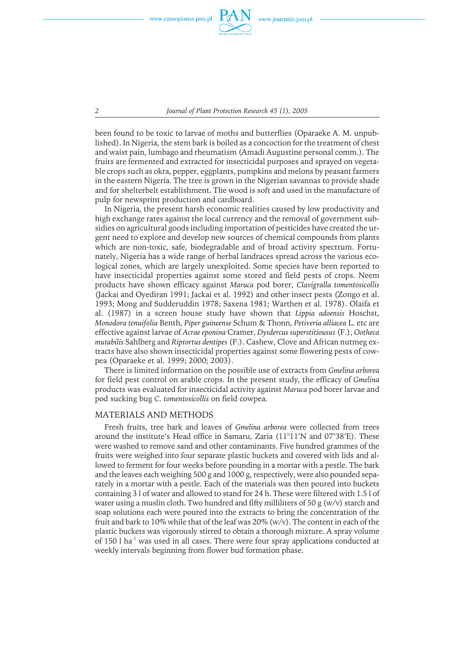

*2 Journal of Plant Protection Research 45 (1), 2005*

been found to be toxic to larvae of moths and butterflies (Oparaeke A. M. unpublished). In Nigeria, the stem bark is boiled as a concoction for the treatment of chest and waist pain, lumbago and rheumatism (Amadi Augustine personal comm.). The fruits are fermented and extracted for insecticidal purposes and sprayed on vegetable crops such as okra, pepper, eggplants, pumpkins and melons by peasant farmers in the eastern Nigeria. The tree is grown in the Nigerian savannas to provide shade and for shelterbelt establishment. The wood is soft and used in the manufacture of pulp for newsprint production and cardboard.

In Nigeria, the present harsh economic realities caused by low productivity and high exchange rates against the local currency and the removal of government subsidies on agricultural goods including importation of pesticides have created the urgent need to explore and develop new sources of chemical compounds from plants which are non-toxic, safe, biodegradable and of broad activity spectrum. Fortunately, Nigeria has a wide range of herbal landraces spread across the various ecological zones, which are largely unexploited. Some species have been reported to have insecticidal properties against some stored and field pests of crops. Neem products have shown efficacy against *Maruca* pod borer, *Clavigralla tomentosicollis* (Jackai and Oyediran 1991; Jackai et al. 1992) and other insect pests (Zongo et al. 1993; Mong and Sudderuddin 1978; Saxena 1981; Warthen et al. 1978). Olaifa et al. (1987) in a screen house study have shown that *Lippia adoensis* Hoschst, *Monodora tenuifolia* Benth, *Piper guineense* Schum & Thonn, *Petiveria alliacea* L. etc are effective against larvae of *Acrae eponina* Cramer, *Dysdercus superstitiousus* (F.), *Ootheca mutabilis* Sahlberg and *Riptortus dentipes* (F.). Cashew, Clove and African nutmeg extracts have also shown insecticidal properties against some flowering pests of cowpea (Oparaeke et al. 1999; 2000; 2003).

There is limited information on the possible use of extracts from *Gmelina arborea* for field pest control on arable crops. In the present study, the efficacy of *Gmelina* products was evaluated for insecticidal activity against *Maruca* pod borer larvae and pod sucking bug *C. tomentosicollis* on field cowpea.

# MATERIALS AND METHODS

Fresh fruits, tree bark and leaves of *Gmelina arborea* were collected from trees around the institute's Head office in Samaru, Zaria (11°11'N and 07°38'E). These were washed to remove sand and other contaminants. Five hundred grammes of the fruits were weighed into four separate plastic buckets and covered with lids and allowed to ferment for four weeks before pounding in a mortar with a pestle. The bark and the leaves each weighing 500 g and 1000 g, respectively, were also pounded separately in a mortar with a pestle. Each of the materials was then poured into buckets containing 3 l of water and allowed to stand for 24 h. These were filtered with 1.5 l of water using a muslin cloth. Two hundred and fifty milliliters of 50 g  $(w/v)$  starch and soap solutions each were poured into the extracts to bring the concentration of the fruit and bark to 10% while that of the leaf was  $20\%$  (w/v). The content in each of the plastic buckets was vigorously stirred to obtain a thorough mixture. A spray volume of  $150$  l ha<sup>-1</sup> was used in all cases. There were four spray applications conducted at weekly intervals beginning from flower bud formation phase.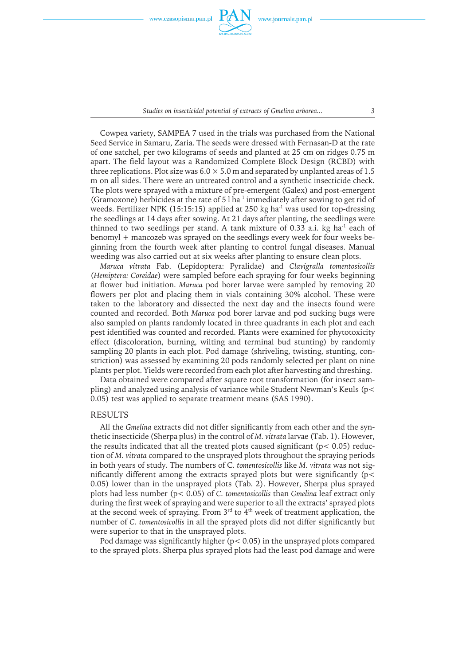

*Studies on insecticidal potential of extracts of Gmelina arborea... 3*

Cowpea variety, SAMPEA 7 used in the trials was purchased from the National Seed Service in Samaru, Zaria. The seeds were dressed with Fernasan-D at the rate of one satchel, per two kilograms of seeds and planted at 25 cm on ridges 0.75 m apart. The field layout was a Randomized Complete Block Design (RCBD) with three replications. Plot size was  $6.0 \times 5.0$  m and separated by unplanted areas of 1.5 m on all sides. There were an untreated control and a synthetic insecticide check. The plots were sprayed with a mixture of pre-emergent (Galex) and post-emergent (Gramoxone) herbicides at the rate of  $5$  l ha<sup>-1</sup> immediately after sowing to get rid of weeds. Fertilizer NPK (15:15:15) applied at 250 kg ha<sup>-1</sup> was used for top-dressing the seedlings at 14 days after sowing. At 21 days after planting, the seedlings were thinned to two seedlings per stand. A tank mixture of 0.33 a.i. kg ha $^{-1}$  each of benomyl + mancozeb was sprayed on the seedlings every week for four weeks beginning from the fourth week after planting to control fungal diseases. Manual weeding was also carried out at six weeks after planting to ensure clean plots.

*Maruca vitrata* Fab. (Lepidoptera: Pyralidae) and *Clavigralla tomentosicollis* (*Hemiptera:Coreidae*) were sampled before each spraying for four weeks beginning at flower bud initiation. *Maruca* pod borer larvae were sampled by removing 20 flowers per plot and placing them in vials containing 30% alcohol. These were taken to the laboratory and dissected the next day and the insects found were counted and recorded. Both *Maruca* pod borer larvae and pod sucking bugs were also sampled on plants randomly located in three quadrants in each plot and each pest identified was counted and recorded. Plants were examined for phytotoxicity effect (discoloration, burning, wilting and terminal bud stunting) by randomly sampling 20 plants in each plot. Pod damage (shriveling, twisting, stunting, constriction) was assessed by examining 20 pods randomly selected per plant on nine plants per plot. Yields were recorded from each plot after harvesting and threshing.

Data obtained were compared after square root transformation (for insect sampling) and analyzed using analysis of variance while Student Newman's Keuls ( $p<$ 0.05) test was applied to separate treatment means (SAS 1990).

#### RESULTS

All the *Gmelina* extracts did not differ significantly from each other and the synthetic insecticide (Sherpa plus) in the control of *M. vitrata* larvae (Tab. 1). However, the results indicated that all the treated plots caused significant ( $p < 0.05$ ) reduction of *M. vitrata* compared to the unsprayed plots throughout the spraying periods in both years of study. The numbers of C. *tomentosicollis* like *M. vitrata* was not significantly different among the extracts sprayed plots but were significantly (p< 0.05) lower than in the unsprayed plots (Tab. 2). However, Sherpa plus sprayed plots had less number (p< 0.05) of *C. tomentosicollis* than *Gmelina* leafextract only during the first week of spraying and were superior to all the extracts' sprayed plots at the second week of spraying. From  $3<sup>rd</sup>$  to  $4<sup>th</sup>$  week of treatment application, the number of *C. tomentosicollis* in all the sprayed plots did not differ significantly but were superior to that in the unsprayed plots.

Pod damage was significantly higher (p< 0.05) in the unsprayed plots compared to the sprayed plots. Sherpa plus sprayed plots had the least pod damage and were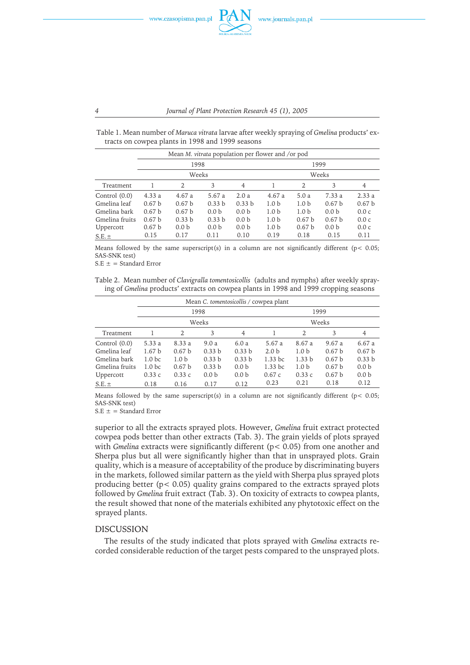

Table 1. Mean number of *Maruca vitrata* larvae after weekly spraying of *Gmelina* products' extracts on cowpea plants in 1998 and 1999 seasons

|                 |                   |                   |                   | Mean <i>M. vitrata</i> population per flower and /or pod |                  |                   |                   |                   |  |
|-----------------|-------------------|-------------------|-------------------|----------------------------------------------------------|------------------|-------------------|-------------------|-------------------|--|
|                 | 1998              |                   |                   |                                                          | 1999             |                   |                   |                   |  |
|                 |                   | Weeks             |                   |                                                          |                  | Weeks             |                   |                   |  |
| Treatment       |                   | 2                 | 3                 | 4                                                        |                  | 2                 | 3                 | 4                 |  |
| Control $(0.0)$ | 4.33a             | 4.67a             | 5.67 a            | 2.0a                                                     | 4.67a            | 5.0a              | 7.33 a            | 2.33a             |  |
| Gmelina leaf    | 0.67 <sub>b</sub> | 0.67 <sub>b</sub> | 0.33 <sub>b</sub> | 0.33 <sub>b</sub>                                        | 1.0 <sub>b</sub> | 1.0 <sub>b</sub>  | 0.67 <sub>b</sub> | 0.67 <sub>b</sub> |  |
| Gmelina bark    | 0.67 <sub>b</sub> | 0.67 <sub>b</sub> | 0.0 <sub>b</sub>  | 0.0 <sub>b</sub>                                         | 1.0 <sub>b</sub> | 1.0 <sub>b</sub>  | 0.0 <sub>b</sub>  | 0.0c              |  |
| Gmelina fruits  | 0.67 <sub>b</sub> | 0.33h             | 0.33 <sub>b</sub> | 0.0 <sub>b</sub>                                         | 1.0 <sub>b</sub> | 0.67 <sub>b</sub> | 0.67 <sub>b</sub> | 0.0c              |  |
| Uppercott       | 0.67 <sub>b</sub> | 0.0 <sub>b</sub>  | 0.0 <sub>b</sub>  | 0.0 <sub>b</sub>                                         | 1.0 <sub>b</sub> | 0.67 <sub>b</sub> | 0.0 <sub>b</sub>  | 0.0c              |  |
| $S.E. \pm$      | 0.15              | 0.17              | 0.11              | 0.10                                                     | 0.19             | 0.18              | 0.15              | 0.11              |  |

Means followed by the same superscript(s) in a column are not significantly different ( $p < 0.05$ ; SAS-SNK test)

 $S.E \pm =$  Standard Error

Table 2. Mean number of *Clavigralla tomentosicollis* (adults and nymphs) after weekly spraying of *Gmelina* products' extracts on cowpea plants in 1998 and 1999 cropping seasons

| Mean C. tomentosicollis / cowpea plant |                   |                   |                   |                   |                  |                  |                   |                   |
|----------------------------------------|-------------------|-------------------|-------------------|-------------------|------------------|------------------|-------------------|-------------------|
|                                        | 1998              |                   |                   | 1999              |                  |                  |                   |                   |
|                                        | Weeks             |                   |                   | Weeks             |                  |                  |                   |                   |
| Treatment                              |                   | 2                 | 3                 | $\overline{4}$    |                  | 2                | 3                 | 4                 |
| Control $(0.0)$                        | 5.33a             | 8.33 a            | 9.0a              | 6.0a              | 5.67a            | 8.67 a           | 9.67a             | 6.67a             |
| Gmelina leaf                           | 1.67 <sub>b</sub> | 0.67 <sub>b</sub> | 0.33 b            | 0.33 b            | 2.0 <sub>b</sub> | 1.0 <sub>b</sub> | 0.67 <sub>b</sub> | 0.67 <sub>b</sub> |
| Gmelina bark                           | 1.0 <sub>bc</sub> | 1.0 <sub>b</sub>  | 0.33 <sub>b</sub> | 0.33 <sub>b</sub> | $1.33$ bc        | 1.33h            | 0.67 <sub>b</sub> | 0.33 <sub>b</sub> |
| Gmelina fruits                         | 1.0 <sub>bc</sub> | 0.67 <sub>b</sub> | 0.33 b            | 0.0 <sub>b</sub>  | $1.33$ bc        | 1.0 <sub>b</sub> | 0.67 <sub>b</sub> | 0.0 <sub>b</sub>  |
| Uppercott                              | 0.33c             | 0.33c             | 0.0 <sub>b</sub>  | 0.0 <sub>b</sub>  | 0.67c            | 0.33c            | 0.67 <sub>b</sub> | 0.0 <sub>b</sub>  |
| $S.E. \pm$                             | 0.18              | 0.16              | 0.17              | 0.12              | 0.23             | 0.21             | 0.18              | 0.12              |

Means followed by the same superscript(s) in a column are not significantly different ( $p$  < 0.05; SAS-SNK test)

 $S.E \pm =$  Standard Error

superior to all the extracts sprayed plots. However, *Gmelina* fruit extract protected cowpea pods better than other extracts (Tab. 3). The grain yields of plots sprayed with *Gmelina* extracts were significantly different ( $p < 0.05$ ) from one another and Sherpa plus but all were significantly higher than that in unsprayed plots. Grain quality, which is a measure of acceptability of the produce by discriminating buyers in the markets, followed similar pattern as the yield with Sherpa plus sprayed plots producing better (p< 0.05) quality grains compared to the extracts sprayed plots followed by *Gmelina* fruit extract (Tab. 3). On toxicity of extracts to cowpea plants, the result showed that none of the materials exhibited any phytotoxic effect on the sprayed plants.

## DISCUSSION

The results of the study indicated that plots sprayed with *Gmelina* extracts recorded considerable reduction of the target pests compared to the unsprayed plots.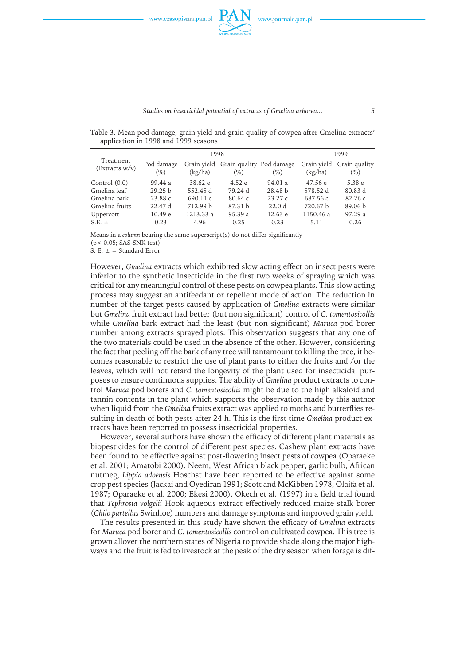

Table 3. Mean pod damage, grain yield and grain quality of cowpea after Gmelina extracts' application in 1998 and 1999 seasons

|                             |                      | 1998                   | 1999                               |                   |                        |                         |
|-----------------------------|----------------------|------------------------|------------------------------------|-------------------|------------------------|-------------------------|
| Treatment<br>(Extracts w/v) | Pod damage<br>$(\%)$ | Grain vield<br>(kg/ha) | Grain quality Pod damage<br>$(\%)$ | $(\%)$            | Grain yield<br>(kg/ha) | Grain quality<br>$(\%)$ |
| Control $(0.0)$             | 99.44 a              | 38.62 e                | 4.52 e                             | 94.01 a           | 47.56e                 | 5.38 e                  |
| Gmelina leaf                | 29.25 b              | 552.45 d               | 79.24 d                            | 28.48 b           | 578.52 d               | 80.83 d                 |
| Gmelina bark                | 23.88c               | 690.11c                | 80.64c                             | 23.27c            | 687.56 c               | 82.26c                  |
| Gmelina fruits              | 22.47d               | 712.99 b               | 87.31 b                            | 22.0 <sub>d</sub> | 720.67 b               | 89.06 <sub>b</sub>      |
| Uppercott                   | 10.49 e              | 1213.33 a              | 95.39 a                            | 12.63 e           | 1150.46 a              | 97.29a                  |
| $S.E.~\pm$                  | 0.23                 | 4.96                   | 0.25                               | 0.23              | 5.11                   | 0.26                    |

Means in a *column* bearing the same superscript(s) do not differ significantly

(p< 0.05; SAS-SNK test)

S. E.  $\pm$  = Standard Error

However, *Gmelina* extracts which exhibited slow acting effect on insect pests were inferior to the synthetic insecticide in the first two weeks of spraying which was critical for any meaningful control of these pests on cowpea plants. This slow acting process may suggest an antifeedant or repellent mode of action. The reduction in number of the target pests caused by application of *Gmelina* extracts were similar but *Gmelina* fruit extract had better (but non significant) control of *C. tomentosicollis* while *Gmelina* bark extract had the least (but non significant) *Maruca* pod borer number among extracts sprayed plots. This observation suggests that any one of the two materials could be used in the absence of the other. However, considering the fact that peeling off the bark of any tree will tantamount to killing the tree, it becomes reasonable to restrict the use of plant parts to either the fruits and /or the leaves, which will not retard the longevity of the plant used for insecticidal purposes to ensure continuous supplies. The ability of *Gmelina* product extracts to control *Maruca* pod borers and *C. tomentosicollis* might be due to the high alkaloid and tannin contents in the plant which supports the observation made by this author when liquid from the *Gmelina* fruits extract was applied to moths and butterflies resulting in death of both pests after 24 h. This is the first time *Gmelina* product extracts have been reported to possess insecticidal properties.

However, several authors have shown the efficacy of different plant materials as biopesticides for the control of different pest species. Cashew plant extracts have been found to be effective against post-flowering insect pests of cowpea (Oparaeke et al. 2001; Amatobi 2000). Neem, West African black pepper, garlic bulb, African nutmeg, *Lippia adoensis* Hoschst have been reported to be effective against some crop pest species (Jackai and Oyediran 1991; Scott and McKibben 1978; Olaifa et al. 1987; Oparaeke et al. 2000; Ekesi 2000). Okech et al. (1997) in a field trial found that *Tephrosia volgelii* Hook aqueous extract effectively reduced maize stalk borer (*Chilo partellus* Swinhoe) numbers and damage symptoms and improved grain yield.

The results presented in this study have shown the efficacy of *Gmelina* extracts for *Maruca* pod borer and *C. tomentosicollis* control on cultivated cowpea. This tree is grown allover the northern states of Nigeria to provide shade along the major highways and the fruit is fed to livestock at the peak of the dry season when forage is dif-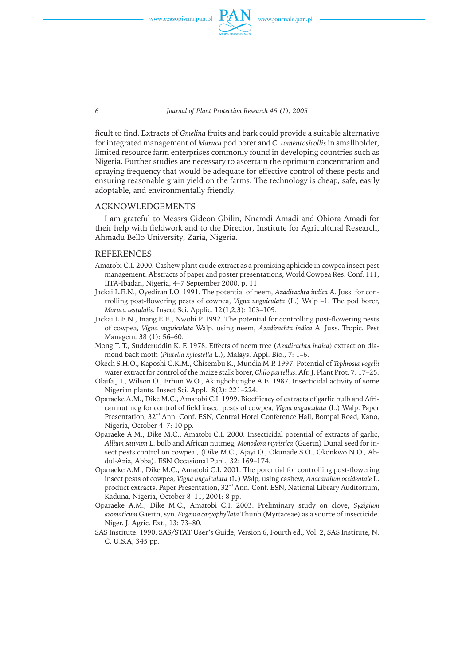*6 Journal of Plant Protection Research 45 (1), 2005*

ficult to find. Extracts of *Gmelina* fruits and bark could provide a suitable alternative for integrated management of *Maruca* pod borer and *C. tomentosicollis* in smallholder, limited resource farm enterprises commonly found in developing countries such as Nigeria. Further studies are necessary to ascertain the optimum concentration and spraying frequency that would be adequate for effective control of these pests and ensuring reasonable grain yield on the farms. The technology is cheap, safe, easily adoptable, and environmentally friendly.

## ACKNOWLEDGEMENTS

I am grateful to Messrs Gideon Gbilin, Nnamdi Amadi and Obiora Amadi for their help with fieldwork and to the Director, Institute for Agricultural Research, Ahmadu Bello University, Zaria, Nigeria.

# REFERENCES

- Amatobi C.I. 2000. Cashew plant crude extract as a promising aphicide in cowpea insect pest management. Abstracts of paper and poster presentations, World Cowpea Res. Conf. 111, IITA-Ibadan, Nigeria, 4–7 September 2000, p. 11.
- Jackai L.E.N., Oyediran I.O. 1991. The potential of neem, *Azadirachta indica* A. Juss. for controlling post-flowering pests of cowpea, *Vigna unguiculata* (L.) Walp –1. The pod borer, *Maruca testulalis*. Insect Sci. Applic*.* 12(1,2,3): 103–109.
- Jackai L.E.N., Inang E.E., Nwobi P. 1992. The potential for controlling post-flowering pests ofcowpea, *Vigna unguiculata* Walp. using neem, *Azadirachta indica* A. Juss. Tropic. Pest Managem*.* 38 (1): 56–60.
- Mong T. T., Sudderuddin K. F. 1978. Effects of neem tree (*Azadirachta indica*) extract on diamond back moth (*Plutella xylostella* L.), Malays. Appl. Bio., 7: 1–6.
- Okech S.H.O., Kaposhi C.K.M., Chisembu K., Mundia M.P. 1997. Potential of *Tephrosia vogelii* water extract for control of the maize stalk borer, *Chilo partellus.* Afr. J. Plant Prot*.* 7: 17–25.
- Olaifa J.I., Wilson O., Erhun W.O., Akingbohungbe A.E. 1987. Insecticidal activity of some Nigerian plants. Insect Sci. Appl*.,* 8(2): 221–224.
- Oparaeke A.M., Dike M.C., Amatobi C.I. 1999. Bioefficacy of extracts of garlic bulb and African nutmeg for control of field insect pests of cowpea, *Vigna unguiculata* (L.) Walp. Paper Presentation, 32<sup>nd</sup> Ann. Conf. ESN, Central Hotel Conference Hall, Bompai Road, Kano, Nigeria, October 4–7: 10 pp.
- Oparaeke A.M., Dike M.C., Amatobi C.I. 2000. Insecticidal potential of extracts of garlic, *Allium sativum* L. bulb and African nutmeg, *Monodora myristica* (Gaertn) Dunal seed for insect pests control on cowpea., (Dike M.C., Ajayi O., Okunade S.O., Okonkwo N.O., Abdul-Aziz, Abba). ESN Occasional Publ., 32: 169–174.
- Oparaeke A.M., Dike M.C., Amatobi C.I. 2001. The potential for controlling post-flowering insect pests of cowpea, *Vigna unguiculata* (L.) Walp, using cashew, *Anacardium occidentale* L. product extracts. Paper Presentation, 32<sup>nd</sup> Ann. Conf. ESN, National Library Auditorium, Kaduna, Nigeria, October 8–11, 2001: 8 pp.
- Oparaeke A.M., Dike M.C., Amatobi C.I. 2003. Preliminary study on clove, *Syzigium aromaticum* Gaertn, syn. *Eugenia caryophyllata* Thunb (Myrtaceae) as a source ofinsecticide. Niger. J. Agric. Ext*.*, 13: 73–80.
- SAS Institute. 1990. SAS/STAT User's Guide, Version 6, Fourth ed., Vol. 2, SAS Institute, N. C, U.S.A, 345 pp.